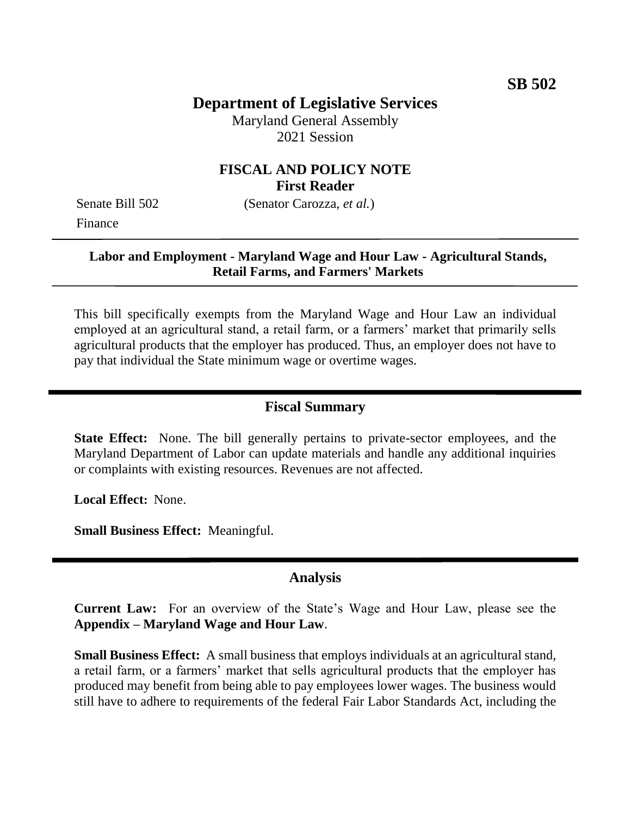# **Department of Legislative Services**

Maryland General Assembly 2021 Session

### **FISCAL AND POLICY NOTE First Reader**

Finance

Senate Bill 502 (Senator Carozza, *et al.*)

#### **Labor and Employment - Maryland Wage and Hour Law - Agricultural Stands, Retail Farms, and Farmers' Markets**

This bill specifically exempts from the Maryland Wage and Hour Law an individual employed at an agricultural stand, a retail farm, or a farmers' market that primarily sells agricultural products that the employer has produced. Thus, an employer does not have to pay that individual the State minimum wage or overtime wages.

### **Fiscal Summary**

**State Effect:** None. The bill generally pertains to private-sector employees, and the Maryland Department of Labor can update materials and handle any additional inquiries or complaints with existing resources. Revenues are not affected.

**Local Effect:** None.

**Small Business Effect:** Meaningful.

#### **Analysis**

**Current Law:** For an overview of the State's Wage and Hour Law, please see the **Appendix – Maryland Wage and Hour Law**.

**Small Business Effect:** A small business that employs individuals at an agricultural stand, a retail farm, or a farmers' market that sells agricultural products that the employer has produced may benefit from being able to pay employees lower wages. The business would still have to adhere to requirements of the federal Fair Labor Standards Act, including the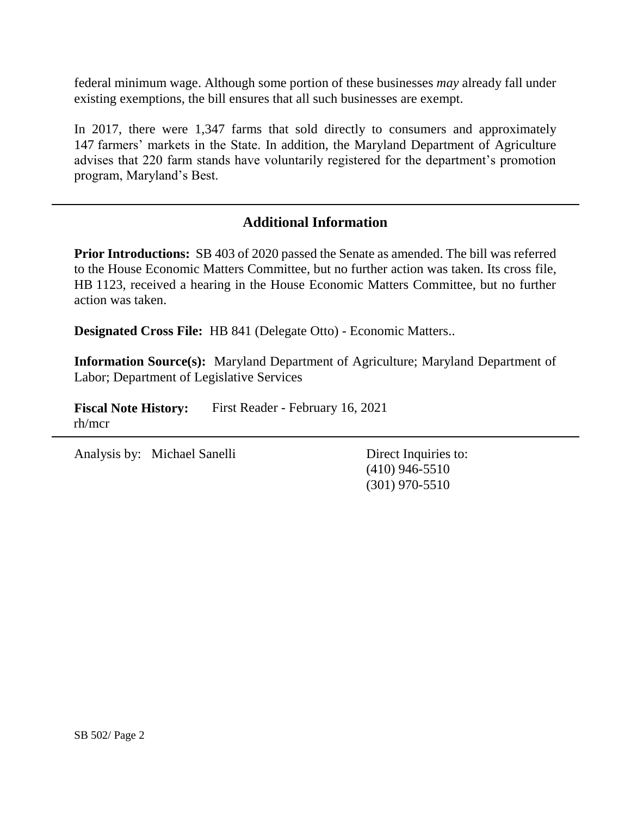federal minimum wage. Although some portion of these businesses *may* already fall under existing exemptions, the bill ensures that all such businesses are exempt.

In 2017, there were 1,347 farms that sold directly to consumers and approximately 147 farmers' markets in the State. In addition, the Maryland Department of Agriculture advises that 220 farm stands have voluntarily registered for the department's promotion program, Maryland's Best.

## **Additional Information**

**Prior Introductions:** SB 403 of 2020 passed the Senate as amended. The bill was referred to the House Economic Matters Committee, but no further action was taken. Its cross file, HB 1123, received a hearing in the House Economic Matters Committee, but no further action was taken.

**Designated Cross File:** HB 841 (Delegate Otto) - Economic Matters..

**Information Source(s):** Maryland Department of Agriculture; Maryland Department of Labor; Department of Legislative Services

Fiscal Note History: First Reader - February 16, 2021 rh/mcr

Analysis by: Michael Sanelli Direct Inquiries to:

(410) 946-5510 (301) 970-5510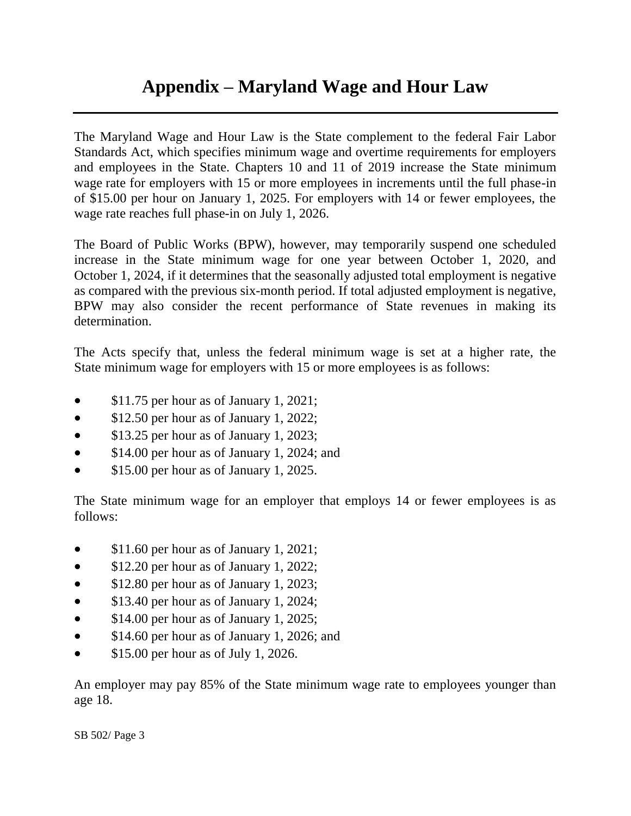# **Appendix – Maryland Wage and Hour Law**

The Maryland Wage and Hour Law is the State complement to the federal Fair Labor Standards Act, which specifies minimum wage and overtime requirements for employers and employees in the State. Chapters 10 and 11 of 2019 increase the State minimum wage rate for employers with 15 or more employees in increments until the full phase-in of \$15.00 per hour on January 1, 2025. For employers with 14 or fewer employees, the wage rate reaches full phase-in on July 1, 2026.

The Board of Public Works (BPW), however, may temporarily suspend one scheduled increase in the State minimum wage for one year between October 1, 2020, and October 1, 2024, if it determines that the seasonally adjusted total employment is negative as compared with the previous six-month period. If total adjusted employment is negative, BPW may also consider the recent performance of State revenues in making its determination.

The Acts specify that, unless the federal minimum wage is set at a higher rate, the State minimum wage for employers with 15 or more employees is as follows:

- \$11.75 per hour as of January 1, 2021;
- \$12.50 per hour as of January 1, 2022;
- \$13.25 per hour as of January 1, 2023;
- \$14.00 per hour as of January 1, 2024; and
- **S15.00 per hour as of January 1, 2025.**

The State minimum wage for an employer that employs 14 or fewer employees is as follows:

- \$11.60 per hour as of January 1, 2021;
- \$12.20 per hour as of January 1, 2022;
- \$12.80 per hour as of January 1, 2023;
- \$13.40 per hour as of January 1, 2024;
- \$14.00 per hour as of January 1, 2025;
- \$14.60 per hour as of January 1, 2026; and
- $\bullet$  \$15.00 per hour as of July 1, 2026.

An employer may pay 85% of the State minimum wage rate to employees younger than age 18.